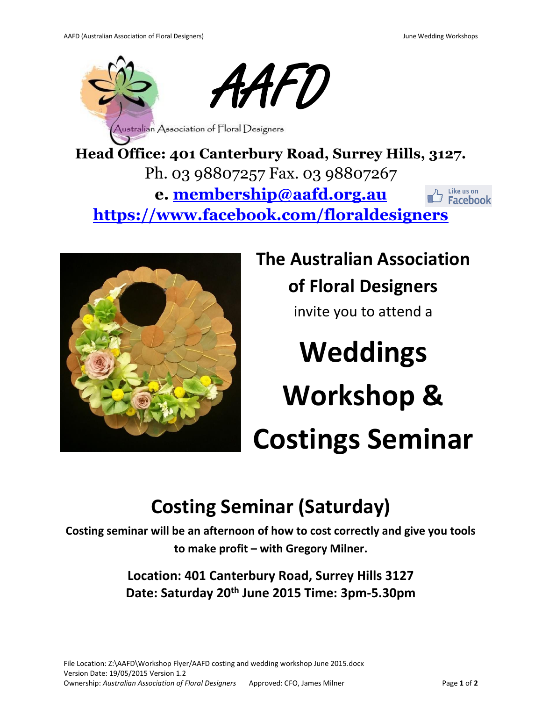

**Head Office: 401 Canterbury Road, Surrey Hills, 3127.** Ph. 03 98807257 Fax. 03 98807267 **e. [membership@aafd.org.au](mailto:membership@aafd.org.au)** Like us on **Facebook <https://www.facebook.com/floraldesigners>**



**The Australian Association of Floral Designers**  invite you to attend a **Weddings Workshop &** 

# **Costings Seminar**

## **Costing Seminar (Saturday)**

**Costing seminar will be an afternoon of how to cost correctly and give you tools to make profit – with Gregory Milner.**

> **Location: 401 Canterbury Road, Surrey Hills 3127 Date: Saturday 20th June 2015 Time: 3pm-5.30pm**